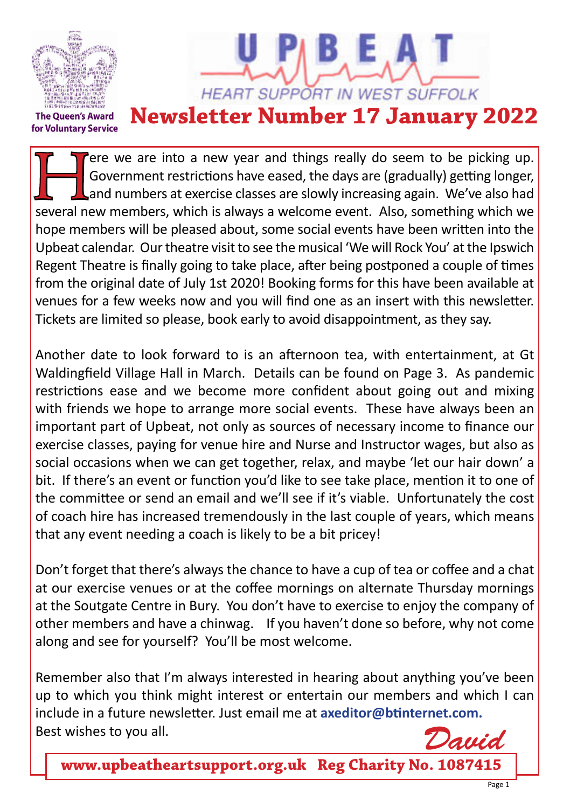

ere we are into a new year and things really do seem to be picking up. Government restrictions have eased, the days are (gradually) getting longer, and numbers at exercise classes are slowly increasing again. We've also had several new members, which is always a welcome event. Also, something which we hope members will be pleased about, some social events have been written into the Upbeat calendar. Our theatre visit to see the musical 'We will Rock You' at the Ipswich Regent Theatre is finally going to take place, after being postponed a couple of times from the original date of July 1st 2020! Booking forms for this have been available at venues for a few weeks now and you will find one as an insert with this newsletter. Tickets are limited so please, book early to avoid disappointment, as they say.

Another date to look forward to is an afternoon tea, with entertainment, at Gt Waldingfield Village Hall in March. Details can be found on Page 3. As pandemic restrictions ease and we become more confident about going out and mixing with friends we hope to arrange more social events. These have always been an important part of Upbeat, not only as sources of necessary income to finance our exercise classes, paying for venue hire and Nurse and Instructor wages, but also as social occasions when we can get together, relax, and maybe 'let our hair down' a bit. If there's an event or function you'd like to see take place, mention it to one of the committee or send an email and we'll see if it's viable. Unfortunately the cost of coach hire has increased tremendously in the last couple of years, which means that any event needing a coach is likely to be a bit pricey!

Don't forget that there's always the chance to have a cup of tea or coffee and a chat at our exercise venues or at the coffee mornings on alternate Thursday mornings at the Soutgate Centre in Bury. You don't have to exercise to enjoy the company of other members and have a chinwag. If you haven't done so before, why not come along and see for yourself? You'll be most welcome.

Remember also that I'm always interested in hearing about anything you've been up to which you think might interest or entertain our members and which I can include in a future newsletter. Just email me at **axeditor@btinternet.com.**  Best wishes to you all.

*David*

**www.upbeatheartsupport.org.uk Reg Charity No. 1087415**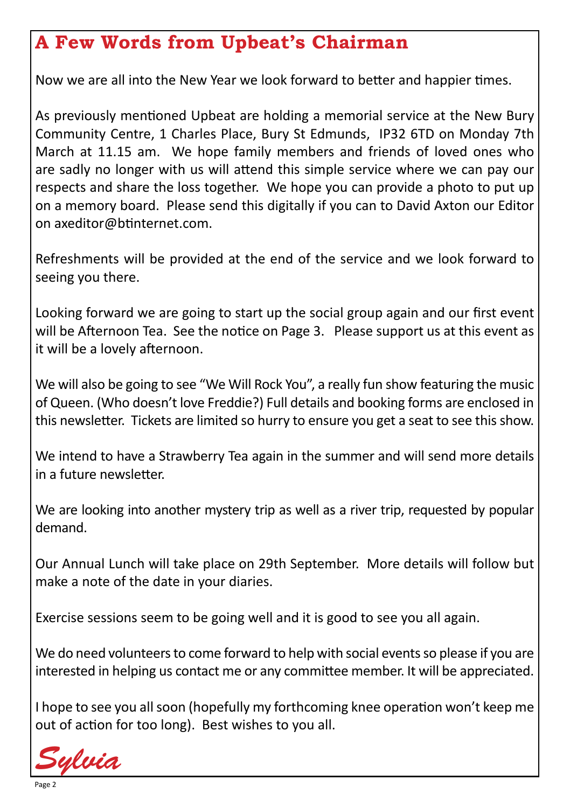## **A Few Words from Upbeat's Chairman**

Now we are all into the New Year we look forward to better and happier times.

As previously mentioned Upbeat are holding a memorial service at the New Bury Community Centre, 1 Charles Place, Bury St Edmunds, IP32 6TD on Monday 7th March at 11.15 am. We hope family members and friends of loved ones who are sadly no longer with us will attend this simple service where we can pay our respects and share the loss together. We hope you can provide a photo to put up on a memory board. Please send this digitally if you can to David Axton our Editor on axeditor@btinternet.com.

Refreshments will be provided at the end of the service and we look forward to seeing you there.

Looking forward we are going to start up the social group again and our first event will be Afternoon Tea. See the notice on Page 3. Please support us at this event as it will be a lovely afternoon.

We will also be going to see "We Will Rock You", a really fun show featuring the music of Queen. (Who doesn't love Freddie?) Full details and booking forms are enclosed in this newsletter. Tickets are limited so hurry to ensure you get a seat to see this show.

We intend to have a Strawberry Tea again in the summer and will send more details in a future newsletter.

We are looking into another mystery trip as well as a river trip, requested by popular demand.

Our Annual Lunch will take place on 29th September. More details will follow but make a note of the date in your diaries.

Exercise sessions seem to be going well and it is good to see you all again.

We do need volunteers to come forward to help with social events so please if you are interested in helping us contact me or any committee member. It will be appreciated.

I hope to see you all soon (hopefully my forthcoming knee operation won't keep me out of action for too long). Best wishes to you all.

*Sylvia*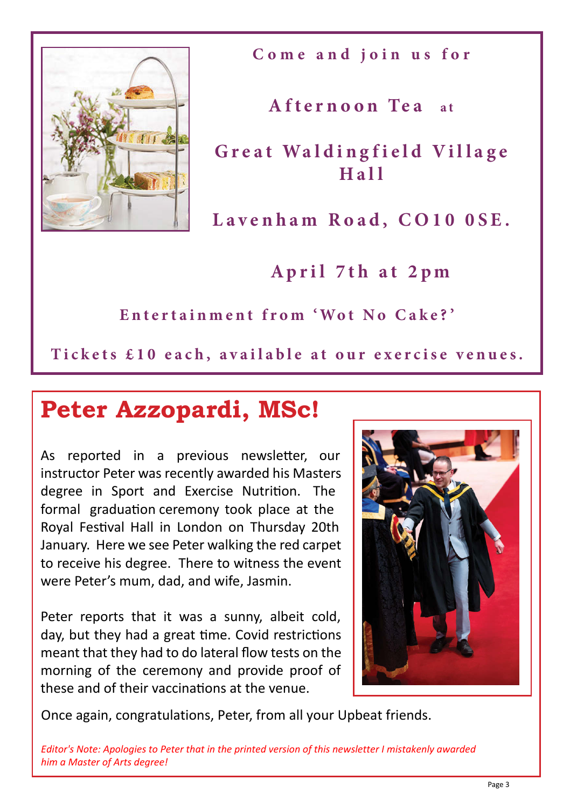

**Come and join us for**

**Afternoon Tea** at

Great Waldingfield Village **Hall**

**Lavenham Road, CO10 0SE.**

**April 7th at 2pm**

**Entertainment from 'Wot No Cake? '**

Tickets £10 each, available at our exercise venues.

# **Peter Azzopardi, MSc!**

As reported in a previous newsletter, our instructor Peter was recently awarded his Masters degree in Sport and Exercise Nutrition. The formal graduation ceremony took place at the Royal Festival Hall in London on Thursday 20th January. Here we see Peter walking the red carpet to receive his degree. There to witness the event were Peter's mum, dad, and wife, Jasmin.

Peter reports that it was a sunny, albeit cold, day, but they had a great time. Covid restrictions meant that they had to do lateral flow tests on the morning of the ceremony and provide proof of these and of their vaccinations at the venue.



Once again, congratulations, Peter, from all your Upbeat friends.

*Editor's Note: Apologies to Peter that in the printed version of this newsletter I mistakenly awarded him a Master of Arts degree!*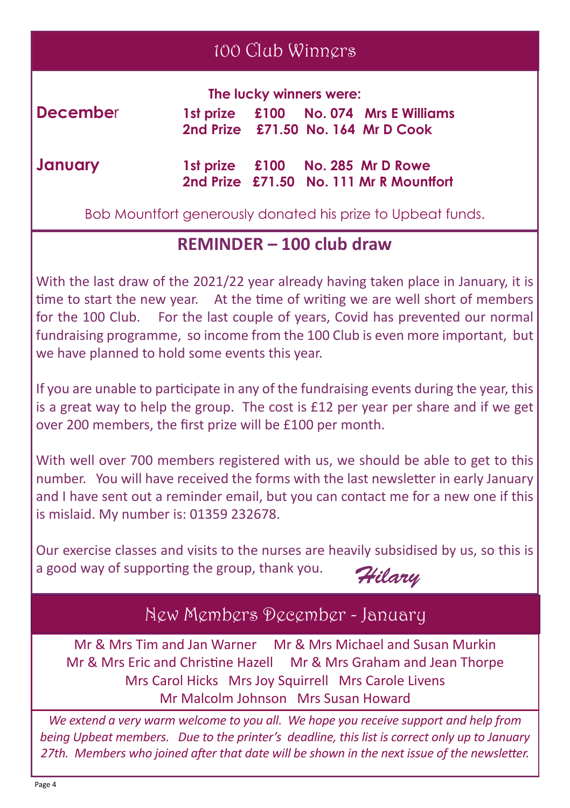#### 100 Club Winners

|          | The lucky winners were: |  |  |                                                                             |
|----------|-------------------------|--|--|-----------------------------------------------------------------------------|
| December |                         |  |  | 1st prize £100 No. 074 Mrs E Williams<br>2nd Prize £71.50 No. 164 Mr D Cook |
| January  |                         |  |  | 1st prize £100 No. 285 Mr D Rowe                                            |

 **2nd Prize £71.50 No. 111 Mr R Mountfort**

Bob Mountfort generously donated his prize to Upbeat funds.

#### **REMINDER – 100 club draw**

With the last draw of the 2021/22 year already having taken place in January, it is time to start the new year. At the time of writing we are well short of members for the 100 Club. For the last couple of years, Covid has prevented our normal fundraising programme, so income from the 100 Club is even more important, but we have planned to hold some events this year.

If you are unable to participate in any of the fundraising events during the year, this is a great way to help the group. The cost is £12 per year per share and if we get over 200 members, the first prize will be £100 per month.

With well over 700 members registered with us, we should be able to get to this number. You will have received the forms with the last newsletter in early January and I have sent out a reminder email, but you can contact me for a new one if this is mislaid. My number is: 01359 232678.

Our exercise classes and visits to the nurses are heavily subsidised by us, so this is a good way of supporting the group, thank you.

*Hilary*

#### New Members December - January

Mr & Mrs Tim and Jan Warner Mr & Mrs Michael and Susan Murkin Mr & Mrs Eric and Christine Hazell Mr & Mrs Graham and Jean Thorpe Mrs Carol Hicks Mrs Joy Squirrell Mrs Carole Livens Mr Malcolm Johnson Mrs Susan Howard

*We extend a very warm welcome to you all. We hope you receive support and help from being Upbeat members. Due to the printer's deadline, this list is correct only up to January 27th. Members who joined after that date will be shown in the next issue of the newsletter.*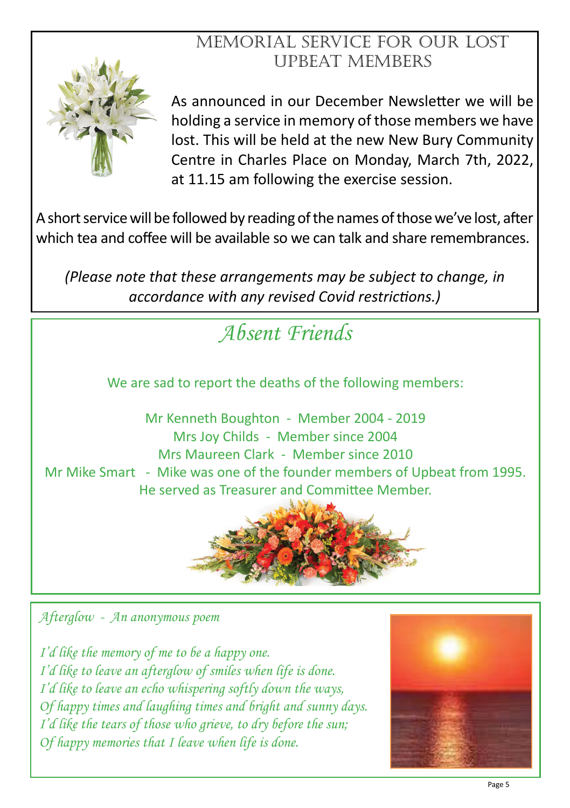#### Memorial Service for Our Lost Upbeat Members



As announced in our December Newsletter we will be holding a service in memory of those members we have lost. This will be held at the new New Bury Community Centre in Charles Place on Monday, March 7th, 2022, at 11.15 am following the exercise session.

A short service will be followed by reading of the names of those we've lost, after which tea and coffee will be available so we can talk and share remembrances.

*(Please note that these arrangements may be subject to change, in accordance with any revised Covid restrictions.)*



*Afterglow - An anonymous poem*

*I'd like the memory of me to be a happy one. I'd like to leave an afterglow of smiles when life is done. I'd like to leave an echo whispering softly down the ways, Of happy times and laughing times and bright and sunny days. I'd like the tears of those who grieve, to dry before the sun; Of happy memories that I leave when life is done.*

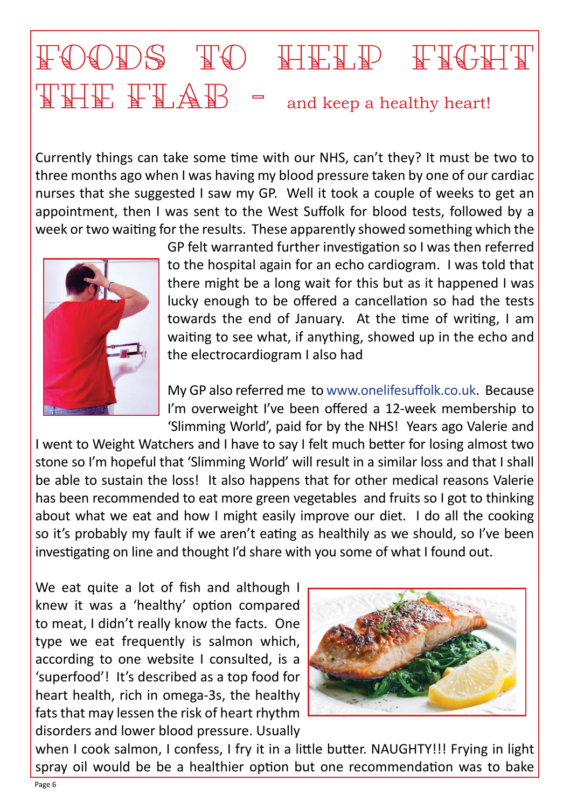# FOODS TO HEID FIGHT  $\begin{array}{cc} \mathbb{T} \mathbb{H} \mathbb{E} & \mathbb{F} \mathbb{L} \mathbb{A} \mathbb{B} & \mathsf{=} \end{array}$  and keep a healthy heart!

Currently things can take some time with our NHS, can't they? It must be two to three months ago when I was having my blood pressure taken by one of our cardiac nurses that she suggested I saw my GP. Well it took a couple of weeks to get an appointment, then I was sent to the West Suffolk for blood tests, followed by a week or two waiting for the results. These apparently showed something which the



GP felt warranted further investigation so I was then referred to the hospital again for an echo cardiogram. I was told that there might be a long wait for this but as it happened I was lucky enough to be offered a cancellation so had the tests towards the end of January. At the time of writing, I am waiting to see what, if anything, showed up in the echo and the electrocardiogram I also had

My GP also referred me to www.onelifesuffolk.co.uk. Because I'm overweight I've been offered a 12-week membership to 'Slimming World', paid for by the NHS! Years ago Valerie and

I went to Weight Watchers and I have to say I felt much better for losing almost two stone so I'm hopeful that 'Slimming World' will result in a similar loss and that I shall be able to sustain the loss! It also happens that for other medical reasons Valerie has been recommended to eat more green vegetables and fruits so I got to thinking about what we eat and how I might easily improve our diet. I do all the cooking so it's probably my fault if we aren't eating as healthily as we should, so I've been investigating on line and thought I'd share with you some of what I found out.

We eat quite a lot of fish and although I knew it was a 'healthy' option compared to meat, I didn't really know the facts. One type we eat frequently is salmon which, according to one website I consulted, is a 'superfood'! It's described as a top food for heart health, rich in omega-3s, the healthy fats that may lessen the risk of heart rhythm disorders and lower blood pressure. Usually



when I cook salmon, I confess, I fry it in a little butter. NAUGHTY!!! Frying in light spray oil would be be a healthier option but one recommendation was to bake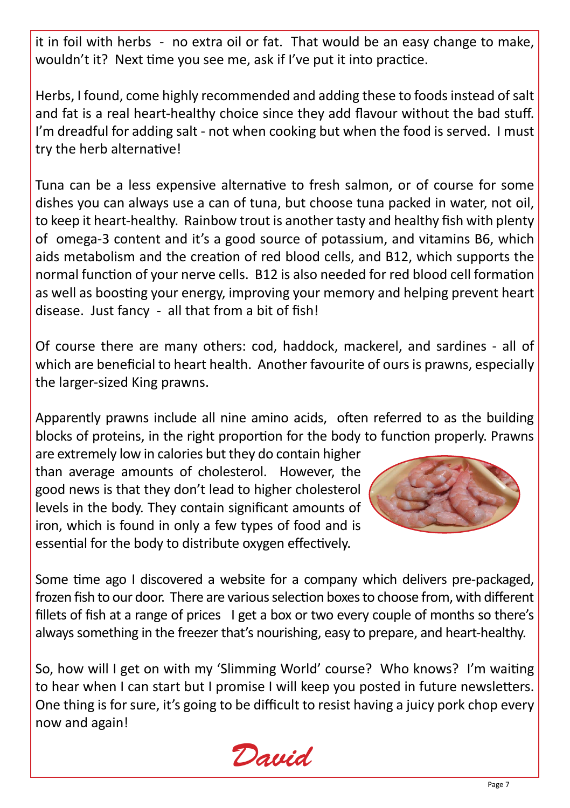it in foil with herbs - no extra oil or fat. That would be an easy change to make, wouldn't it? Next time you see me, ask if I've put it into practice.

Herbs, I found, come highly recommended and adding these to foods instead of salt and fat is a real heart-healthy choice since they add flavour without the bad stuff. I'm dreadful for adding salt - not when cooking but when the food is served. I must try the herb alternative!

Tuna can be a less expensive alternative to fresh salmon, or of course for some dishes you can always use a can of tuna, but choose tuna packed in water, not oil, to keep it heart-healthy. Rainbow trout is another tasty and healthy fish with plenty of omega-3 content and it's a good source of potassium, and vitamins B6, which aids metabolism and the creation of red blood cells, and B12, which supports the normal function of your nerve cells. B12 is also needed for red blood cell formation as well as boosting your energy, improving your memory and helping prevent heart disease. Just fancy - all that from a bit of fish!

Of course there are many others: cod, haddock, mackerel, and sardines - all of which are beneficial to heart health. Another favourite of ours is prawns, especially the larger-sized King prawns.

Apparently prawns include all nine amino acids, often referred to as the building blocks of proteins, in the right proportion for the body to function properly. Prawns

are extremely low in calories but they do contain higher than average amounts of cholesterol. However, the good news is that they don't lead to higher cholesterol levels in the body. They contain significant amounts of iron, which is found in only a few types of food and is essential for the body to distribute oxygen effectively.



Some time ago I discovered a website for a company which delivers pre-packaged, frozen fish to our door. There are various selection boxes to choose from, with different fillets of fish at a range of prices I get a box or two every couple of months so there's always something in the freezer that's nourishing, easy to prepare, and heart-healthy.

So, how will I get on with my 'Slimming World' course? Who knows? I'm waiting to hear when I can start but I promise I will keep you posted in future newsletters. One thing is for sure, it's going to be difficult to resist having a juicy pork chop every now and again!